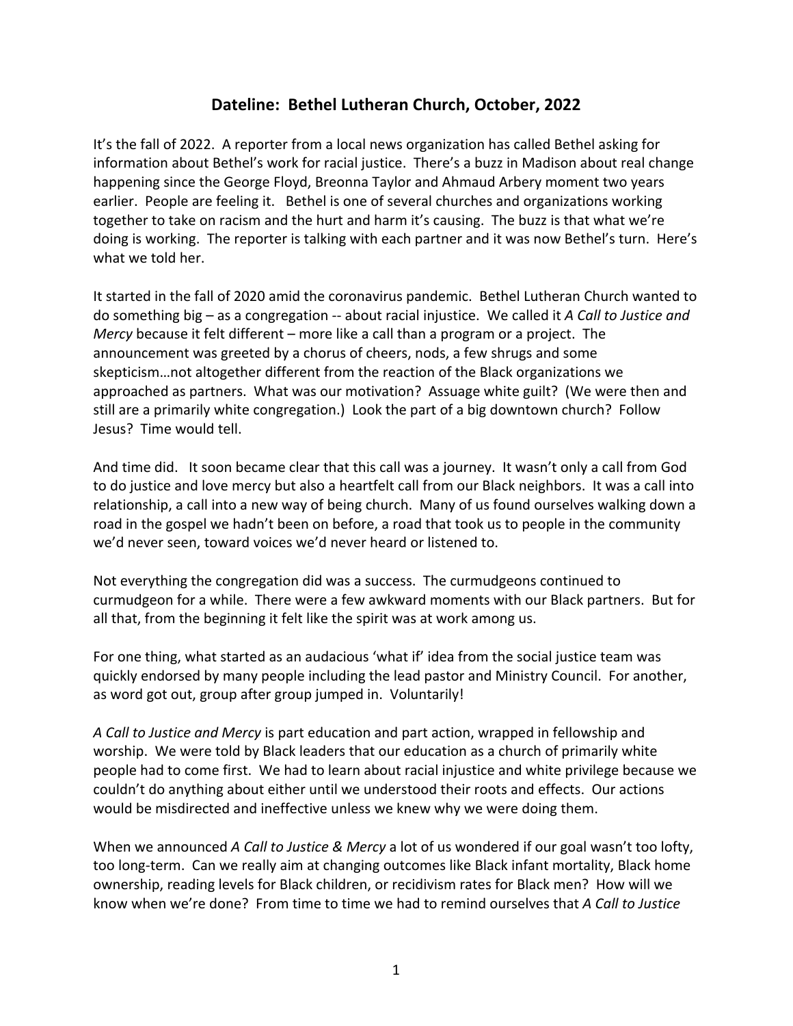## **Dateline: Bethel Lutheran Church, October, 2022**

It's the fall of 2022. A reporter from a local news organization has called Bethel asking for information about Bethel's work for racial justice. There's a buzz in Madison about real change happening since the George Floyd, Breonna Taylor and Ahmaud Arbery moment two years earlier. People are feeling it. Bethel is one of several churches and organizations working together to take on racism and the hurt and harm it's causing. The buzz is that what we're doing is working. The reporter is talking with each partner and it was now Bethel's turn. Here's what we told her.

It started in the fall of 2020 amid the coronavirus pandemic. Bethel Lutheran Church wanted to do something big – as a congregation -- about racial injustice. We called it *A Call to Justice and Mercy* because it felt different – more like a call than a program or a project. The announcement was greeted by a chorus of cheers, nods, a few shrugs and some skepticism…not altogether different from the reaction of the Black organizations we approached as partners. What was our motivation? Assuage white guilt? (We were then and still are a primarily white congregation.) Look the part of a big downtown church? Follow Jesus? Time would tell.

And time did. It soon became clear that this call was a journey. It wasn't only a call from God to do justice and love mercy but also a heartfelt call from our Black neighbors. It was a call into relationship, a call into a new way of being church. Many of us found ourselves walking down a road in the gospel we hadn't been on before, a road that took us to people in the community we'd never seen, toward voices we'd never heard or listened to.

Not everything the congregation did was a success. The curmudgeons continued to curmudgeon for a while. There were a few awkward moments with our Black partners. But for all that, from the beginning it felt like the spirit was at work among us.

For one thing, what started as an audacious 'what if' idea from the social justice team was quickly endorsed by many people including the lead pastor and Ministry Council. For another, as word got out, group after group jumped in. Voluntarily!

*A Call to Justice and Mercy* is part education and part action, wrapped in fellowship and worship. We were told by Black leaders that our education as a church of primarily white people had to come first. We had to learn about racial injustice and white privilege because we couldn't do anything about either until we understood their roots and effects. Our actions would be misdirected and ineffective unless we knew why we were doing them.

When we announced *A Call to Justice & Mercy* a lot of us wondered if our goal wasn't too lofty, too long-term. Can we really aim at changing outcomes like Black infant mortality, Black home ownership, reading levels for Black children, or recidivism rates for Black men? How will we know when we're done? From time to time we had to remind ourselves that *A Call to Justice*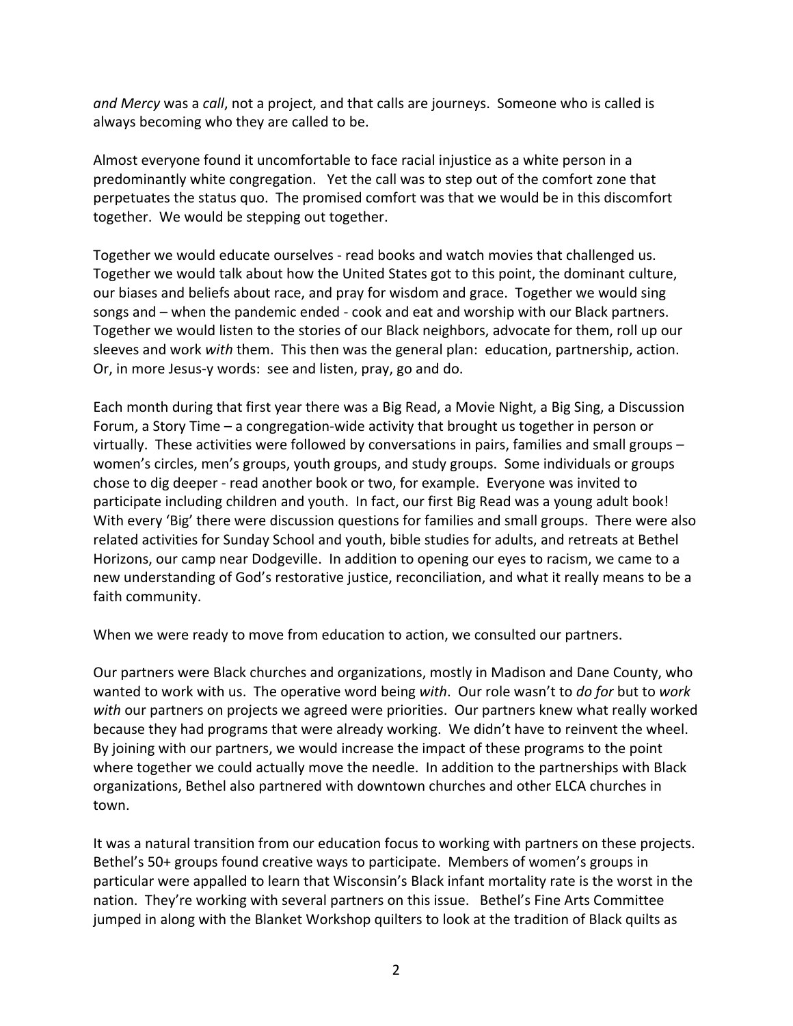*and Mercy* was a *call*, not a project, and that calls are journeys. Someone who is called is always becoming who they are called to be.

Almost everyone found it uncomfortable to face racial injustice as a white person in a predominantly white congregation. Yet the call was to step out of the comfort zone that perpetuates the status quo. The promised comfort was that we would be in this discomfort together. We would be stepping out together.

Together we would educate ourselves - read books and watch movies that challenged us. Together we would talk about how the United States got to this point, the dominant culture, our biases and beliefs about race, and pray for wisdom and grace. Together we would sing songs and – when the pandemic ended - cook and eat and worship with our Black partners. Together we would listen to the stories of our Black neighbors, advocate for them, roll up our sleeves and work *with* them. This then was the general plan: education, partnership, action. Or, in more Jesus-y words: see and listen, pray, go and do.

Each month during that first year there was a Big Read, a Movie Night, a Big Sing, a Discussion Forum, a Story Time – a congregation-wide activity that brought us together in person or virtually. These activities were followed by conversations in pairs, families and small groups – women's circles, men's groups, youth groups, and study groups. Some individuals or groups chose to dig deeper - read another book or two, for example. Everyone was invited to participate including children and youth. In fact, our first Big Read was a young adult book! With every 'Big' there were discussion questions for families and small groups. There were also related activities for Sunday School and youth, bible studies for adults, and retreats at Bethel Horizons, our camp near Dodgeville. In addition to opening our eyes to racism, we came to a new understanding of God's restorative justice, reconciliation, and what it really means to be a faith community.

When we were ready to move from education to action, we consulted our partners.

Our partners were Black churches and organizations, mostly in Madison and Dane County, who wanted to work with us. The operative word being *with*. Our role wasn't to *do for* but to *work with* our partners on projects we agreed were priorities. Our partners knew what really worked because they had programs that were already working. We didn't have to reinvent the wheel. By joining with our partners, we would increase the impact of these programs to the point where together we could actually move the needle. In addition to the partnerships with Black organizations, Bethel also partnered with downtown churches and other ELCA churches in town.

It was a natural transition from our education focus to working with partners on these projects. Bethel's 50+ groups found creative ways to participate. Members of women's groups in particular were appalled to learn that Wisconsin's Black infant mortality rate is the worst in the nation. They're working with several partners on this issue. Bethel's Fine Arts Committee jumped in along with the Blanket Workshop quilters to look at the tradition of Black quilts as